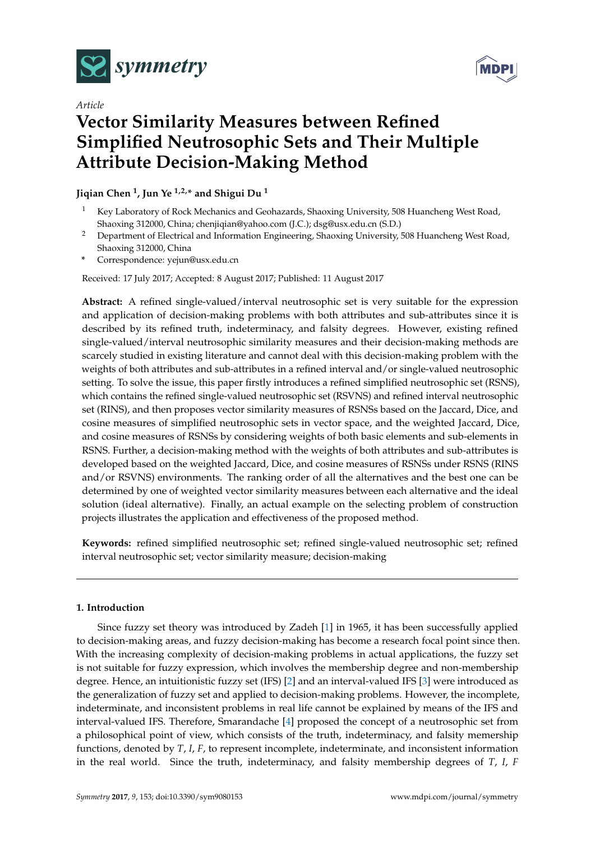

*Article*



# **Vector Similarity Measures between Refined Simplified Neutrosophic Sets and Their Multiple Attribute Decision-Making Method**

**Jiqian Chen <sup>1</sup> , Jun Ye 1,2,\* and Shigui Du <sup>1</sup>**

- <sup>1</sup> Key Laboratory of Rock Mechanics and Geohazards, Shaoxing University, 508 Huancheng West Road, Shaoxing 312000, China; chenjiqian@yahoo.com (J.C.); dsg@usx.edu.cn (S.D.)
- <sup>2</sup> Department of Electrical and Information Engineering, Shaoxing University, 508 Huancheng West Road, Shaoxing 312000, China
- **\*** Correspondence: yejun@usx.edu.cn

Received: 17 July 2017; Accepted: 8 August 2017; Published: 11 August 2017

**Abstract:** A refined single-valued/interval neutrosophic set is very suitable for the expression and application of decision-making problems with both attributes and sub-attributes since it is described by its refined truth, indeterminacy, and falsity degrees. However, existing refined single-valued/interval neutrosophic similarity measures and their decision-making methods are scarcely studied in existing literature and cannot deal with this decision-making problem with the weights of both attributes and sub-attributes in a refined interval and/or single-valued neutrosophic setting. To solve the issue, this paper firstly introduces a refined simplified neutrosophic set (RSNS), which contains the refined single-valued neutrosophic set (RSVNS) and refined interval neutrosophic set (RINS), and then proposes vector similarity measures of RSNSs based on the Jaccard, Dice, and cosine measures of simplified neutrosophic sets in vector space, and the weighted Jaccard, Dice, and cosine measures of RSNSs by considering weights of both basic elements and sub-elements in RSNS. Further, a decision-making method with the weights of both attributes and sub-attributes is developed based on the weighted Jaccard, Dice, and cosine measures of RSNSs under RSNS (RINS and/or RSVNS) environments. The ranking order of all the alternatives and the best one can be determined by one of weighted vector similarity measures between each alternative and the ideal solution (ideal alternative). Finally, an actual example on the selecting problem of construction projects illustrates the application and effectiveness of the proposed method.

**Keywords:** refined simplified neutrosophic set; refined single-valued neutrosophic set; refined interval neutrosophic set; vector similarity measure; decision-making

## **1. Introduction**

Since fuzzy set theory was introduced by Zadeh [\[1\]](#page-11-0) in 1965, it has been successfully applied to decision-making areas, and fuzzy decision-making has become a research focal point since then. With the increasing complexity of decision-making problems in actual applications, the fuzzy set is not suitable for fuzzy expression, which involves the membership degree and non-membership degree. Hence, an intuitionistic fuzzy set (IFS) [\[2\]](#page-11-1) and an interval-valued IFS [\[3\]](#page-11-2) were introduced as the generalization of fuzzy set and applied to decision-making problems. However, the incomplete, indeterminate, and inconsistent problems in real life cannot be explained by means of the IFS and interval-valued IFS. Therefore, Smarandache [\[4\]](#page-11-3) proposed the concept of a neutrosophic set from a philosophical point of view, which consists of the truth, indeterminacy, and falsity memership functions, denoted by *T*, *I*, *F*, to represent incomplete, indeterminate, and inconsistent information in the real world. Since the truth, indeterminacy, and falsity membership degrees of *T*, *I*, *F*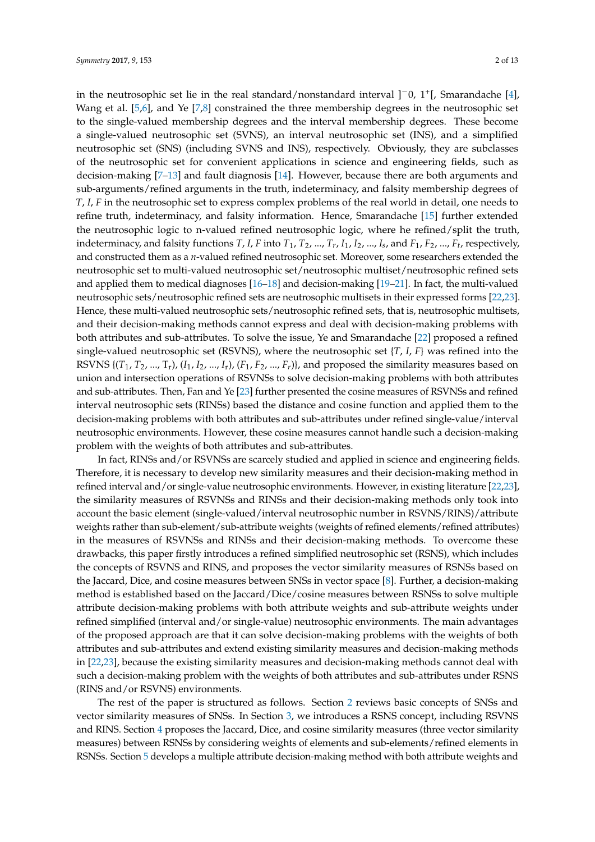in the neutrosophic set lie in the real standard/nonstandard interval ]−0, 1<sup>+</sup> [, Smarandache [\[4\]](#page-11-3), Wang et al. [\[5](#page-11-4)[,6\]](#page-11-5), and Ye [\[7,](#page-11-6)[8\]](#page-11-7) constrained the three membership degrees in the neutrosophic set to the single-valued membership degrees and the interval membership degrees. These become a single-valued neutrosophic set (SVNS), an interval neutrosophic set (INS), and a simplified neutrosophic set (SNS) (including SVNS and INS), respectively. Obviously, they are subclasses of the neutrosophic set for convenient applications in science and engineering fields, such as decision-making [\[7–](#page-11-6)[13\]](#page-11-8) and fault diagnosis [\[14\]](#page-11-9). However, because there are both arguments and sub-arguments/refined arguments in the truth, indeterminacy, and falsity membership degrees of *T*, *I*, *F* in the neutrosophic set to express complex problems of the real world in detail, one needs to refine truth, indeterminacy, and falsity information. Hence, Smarandache [\[15\]](#page-12-0) further extended the neutrosophic logic to n-valued refined neutrosophic logic, where he refined/split the truth, indeterminacy, and falsity functions T, I, F into  $T_1$ ,  $T_2$ , …,  $T_r$ ,  $I_1$ ,  $I_2$ , …,  $I_s$ , and  $F_1$ ,  $F_2$ , …,  $F_t$ , respectively, and constructed them as a *n*-valued refined neutrosophic set. Moreover, some researchers extended the neutrosophic set to multi-valued neutrosophic set/neutrosophic multiset/neutrosophic refined sets and applied them to medical diagnoses [\[16–](#page-12-1)[18\]](#page-12-2) and decision-making [\[19](#page-12-3)[–21\]](#page-12-4). In fact, the multi-valued neutrosophic sets/neutrosophic refined sets are neutrosophic multisets in their expressed forms [\[22](#page-12-5)[,23\]](#page-12-6). Hence, these multi-valued neutrosophic sets/neutrosophic refined sets, that is, neutrosophic multisets, and their decision-making methods cannot express and deal with decision-making problems with both attributes and sub-attributes. To solve the issue, Ye and Smarandache [\[22\]](#page-12-5) proposed a refined single-valued neutrosophic set (RSVNS), where the neutrosophic set {*T*, *I*, *F*} was refined into the RSVNS { $(T_1, T_2, ..., T_r)$ ,  $(I_1, I_2, ..., I_r)$ ,  $(F_1, F_2, ..., F_r)$ }, and proposed the similarity measures based on union and intersection operations of RSVNSs to solve decision-making problems with both attributes and sub-attributes. Then, Fan and Ye [\[23\]](#page-12-6) further presented the cosine measures of RSVNSs and refined interval neutrosophic sets (RINSs) based the distance and cosine function and applied them to the decision-making problems with both attributes and sub-attributes under refined single-value/interval neutrosophic environments. However, these cosine measures cannot handle such a decision-making problem with the weights of both attributes and sub-attributes.

In fact, RINSs and/or RSVNSs are scarcely studied and applied in science and engineering fields. Therefore, it is necessary to develop new similarity measures and their decision-making method in refined interval and/or single-value neutrosophic environments. However, in existing literature [\[22](#page-12-5)[,23\]](#page-12-6), the similarity measures of RSVNSs and RINSs and their decision-making methods only took into account the basic element (single-valued/interval neutrosophic number in RSVNS/RINS)/attribute weights rather than sub-element/sub-attribute weights (weights of refined elements/refined attributes) in the measures of RSVNSs and RINSs and their decision-making methods. To overcome these drawbacks, this paper firstly introduces a refined simplified neutrosophic set (RSNS), which includes the concepts of RSVNS and RINS, and proposes the vector similarity measures of RSNSs based on the Jaccard, Dice, and cosine measures between SNSs in vector space [\[8\]](#page-11-7). Further, a decision-making method is established based on the Jaccard/Dice/cosine measures between RSNSs to solve multiple attribute decision-making problems with both attribute weights and sub-attribute weights under refined simplified (interval and/or single-value) neutrosophic environments. The main advantages of the proposed approach are that it can solve decision-making problems with the weights of both attributes and sub-attributes and extend existing similarity measures and decision-making methods in [\[22](#page-12-5)[,23\]](#page-12-6), because the existing similarity measures and decision-making methods cannot deal with such a decision-making problem with the weights of both attributes and sub-attributes under RSNS (RINS and/or RSVNS) environments.

The rest of the paper is structured as follows. Section [2](#page-2-0) reviews basic concepts of SNSs and vector similarity measures of SNSs. In Section [3,](#page-3-0) we introduces a RSNS concept, including RSVNS and RINS. Section [4](#page-4-0) proposes the Jaccard, Dice, and cosine similarity measures (three vector similarity measures) between RSNSs by considering weights of elements and sub-elements/refined elements in RSNSs. Section [5](#page-6-0) develops a multiple attribute decision-making method with both attribute weights and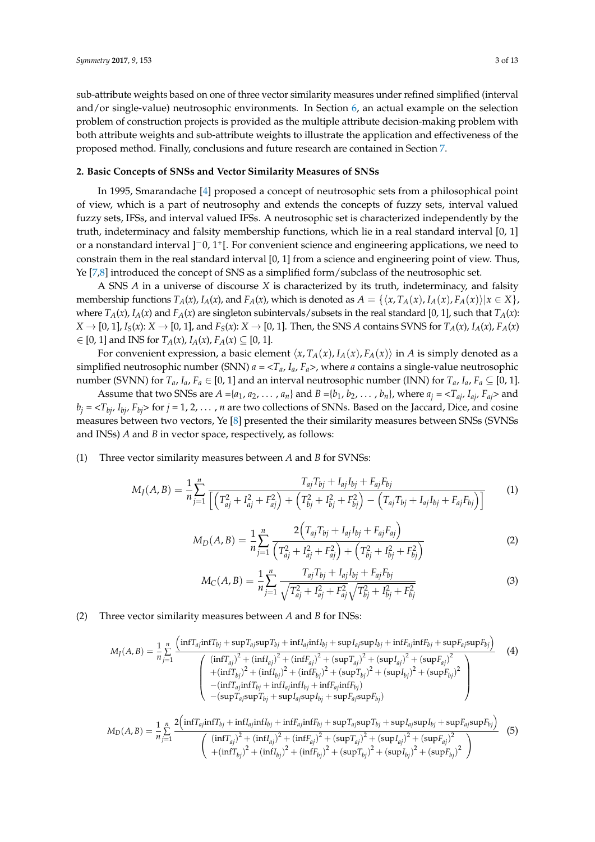sub-attribute weights based on one of three vector similarity measures under refined simplified (interval and/or single-value) neutrosophic environments. In Section [6,](#page-7-0) an actual example on the selection problem of construction projects is provided as the multiple attribute decision-making problem with both attribute weights and sub-attribute weights to illustrate the application and effectiveness of the proposed method. Finally, conclusions and future research are contained in Section [7.](#page-10-0)

#### <span id="page-2-0"></span>**2. Basic Concepts of SNSs and Vector Similarity Measures of SNSs**

In 1995, Smarandache [\[4\]](#page-11-3) proposed a concept of neutrosophic sets from a philosophical point of view, which is a part of neutrosophy and extends the concepts of fuzzy sets, interval valued fuzzy sets, IFSs, and interval valued IFSs. A neutrosophic set is characterized independently by the truth, indeterminacy and falsity membership functions, which lie in a real standard interval [0, 1] or a nonstandard interval ]<sup>-</sup>0, 1<sup>+</sup>[. For convenient science and engineering applications, we need to constrain them in the real standard interval [0, 1] from a science and engineering point of view. Thus, Ye [\[7](#page-11-6)[,8\]](#page-11-7) introduced the concept of SNS as a simplified form/subclass of the neutrosophic set.

A SNS *A* in a universe of discourse *X* is characterized by its truth, indeterminacy, and falsity membership functions  $T_A(x)$ ,  $I_A(x)$ , and  $F_A(x)$ , which is denoted as  $A = \{ \langle x, T_A(x), I_A(x), F_A(x) \rangle | x \in X \}$ , where  $T_A(x)$ ,  $I_A(x)$  and  $F_A(x)$  are singleton subintervals/subsets in the real standard [0, 1], such that  $T_A(x)$ :  $X \to [0, 1], I_S(x): X \to [0, 1],$  and  $F_S(x): X \to [0, 1].$  Then, the SNS A contains SVNS for  $T_A(x), I_A(x), F_A(x)$ ∈ [0, 1] and INS for *TA*(*x*), *IA*(*x*), *FA*(*x*) ⊆ [0, 1].

For convenient expression, a basic element  $\langle x, T_A(x), I_A(x), F_A(x) \rangle$  in *A* is simply denoted as a simplified neutrosophic number (SNN)  $a = \langle T_a, I_a, F_a \rangle$ , where *a* contains a single-value neutrosophic number (SVNN) for  $T_a$ ,  $I_a$ ,  $F_a \in [0, 1]$  and an interval neutrosophic number (INN) for  $T_a$ ,  $I_a$ ,  $F_a \subseteq [0, 1]$ .

Assume that two SNSs are  $A = \{a_1, a_2, \dots, a_n\}$  and  $B = \{b_1, b_2, \dots, b_n\}$ , where  $a_j = \langle T_{aj}, I_{aj}, F_{aj} \rangle$  and  $b_j = \langle T_{bj}, I_{bj}, F_{bj} \rangle$  for  $j = 1, 2, \dots, n$  are two collections of SNNs. Based on the Jaccard, Dice, and cosine measures between two vectors, Ye [\[8\]](#page-11-7) presented the their similarity measures between SNSs (SVNSs and INSs) *A* and *B* in vector space, respectively, as follows:

(1) Three vector similarity measures between *A* and *B* for SVNSs:

$$
M_J(A,B) = \frac{1}{n} \sum_{j=1}^n \frac{T_{aj} T_{bj} + I_{aj} I_{bj} + F_{aj} F_{bj}}{\left[ \left( T_{aj}^2 + I_{aj}^2 + F_{aj}^2 \right) + \left( T_{bj}^2 + I_{bj}^2 + F_{bj}^2 \right) - \left( T_{aj} T_{bj} + I_{aj} I_{bj} + F_{aj} F_{bj} \right) \right]}
$$
(1)

$$
M_D(A, B) = \frac{1}{n} \sum_{j=1}^n \frac{2(T_{aj}T_{bj} + I_{aj}I_{bj} + F_{aj}F_{aj})}{(T_{aj}^2 + I_{aj}^2 + F_{aj}^2) + (T_{bj}^2 + I_{bj}^2 + F_{bj}^2)}
$$
(2)

$$
M_C(A,B) = \frac{1}{n} \sum_{j=1}^n \frac{T_{aj} T_{bj} + I_{aj} I_{bj} + F_{aj} F_{bj}}{\sqrt{T_{aj}^2 + I_{aj}^2 + F_{aj}^2} \sqrt{T_{bj}^2 + I_{bj}^2 + F_{bj}^2}}
$$
(3)

## (2) Three vector similarity measures between *A* and *B* for INSs:

$$
M_{J}(A, B) = \frac{1}{n} \sum_{j=1}^{n} \frac{\left( \inf T_{aj} \inf T_{bj} + \sup T_{aj} \sup T_{bj} + \inf I_{aj} \inf I_{bj} + \sup I_{aj} \sup I_{bj} + \inf F_{aj} \inf F_{bj} + \sup F_{aj} \sup F_{bj} \right)}{\left( \frac{\left( \inf T_{aj} \right)^{2} + \left( \inf I_{aj} \right)^{2} + \left( \inf I_{bj} \right)^{2} + \left( \sup T_{aj} \right)^{2} + \left( \sup T_{aj} \right)^{2} + \left( \sup I_{aj} \right)^{2} + \left( \sup F_{aj} \right)^{2}}{\left( \inf T_{aj} \inf T_{bj} + \inf I_{aj} \inf I_{bj} + \inf F_{aj} \inf F_{bj} \right)^{2} + \left( \sup T_{bj} \right)^{2} + \left( \sup I_{bj} \right)^{2} + \left( \sup F_{bj} \right)^{2}} \right)}
$$
\n
$$
- \left( \inf T_{aj} \inf T_{bj} + \inf I_{aj} \sup I_{aj} \sup T_{bj} + \sup I_{aj} \sup I_{aj} \sup I_{bj} + \sup F_{aj} \sup F_{bj} \sup F_{bj} \right)
$$
\n
$$
1 \frac{n}{n} \sum_{j=1}^{n} \left( \inf T_{aj} \inf T_{bj} + \inf I_{aj} \inf I_{bj} + \inf F_{aj} \inf F_{bj} + \sup T_{aj} \sup T_{bj} \sup T_{bj} + \sup I_{aj} \sup I_{bj} \sup F_{bj} \right)
$$
\n
$$
+ \sum_{j=1}^{n} \left( \inf T_{aj} \inf T_{bj} + \inf I_{aj} \sup I_{bj} + \inf F_{aj} \sup T_{aj} \sup T_{bj} + \sup T_{aj} \sup T_{aj} \sup T_{bj} + \sup F_{aj} \sup T_{aj} \sup F_{bj} \right)
$$

$$
M_D(A, B) = \frac{1}{n} \sum_{j=1}^{n} \frac{2 \left( \inf T_{aj} \inf T_{bj} + \inf I_{aj} \inf I_{bj} + \inf T_{aj} \inf F_{bj} + \sup T_{aj} \sup T_{bj} + \sup I_{aj} \sup I_{bj} + \sup I_{aj} \sup I_{bj} + \sup I_{aj} \sup F_{bj} \right)}{\left( \left( \inf T_{aj} \right)^2 + \left( \inf I_{aj} \right)^2 + \left( \inf F_{aj} \right)^2 + \left( \sup T_{aj} \right)^2 + \left( \sup I_{aj} \right)^2 + \left( \sup I_{bj} \right)^2 + \left( \sup I_{bj} \right)^2 \right)}
$$
(5)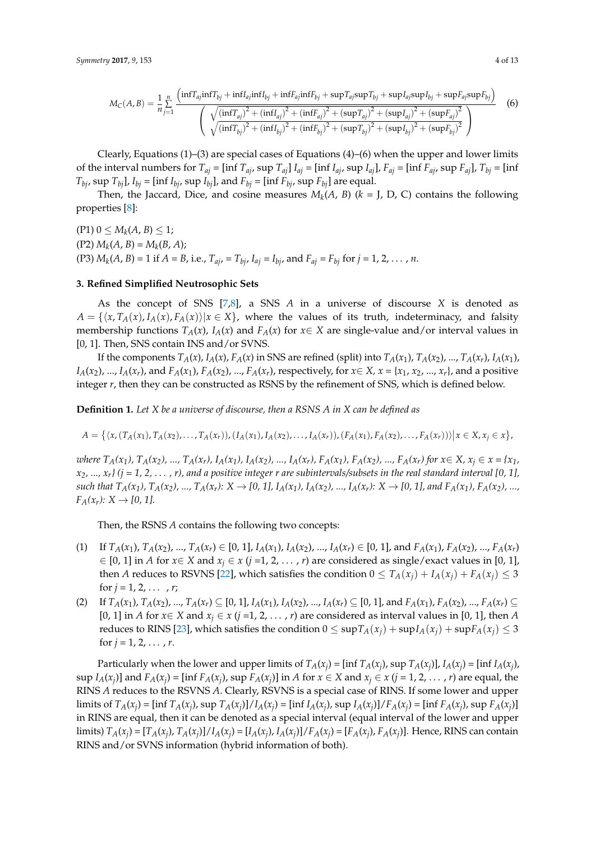$$
M_{C}(A,B) = \frac{1}{n} \sum_{j=1}^{n} \frac{\left( \inf T_{aj} \inf T_{bj} + \inf T_{aj} \inf T_{bj} + \inf T_{aj} \inf T_{bj} + \sup T_{aj} \sup T_{bj} + \sup T_{aj} \sup T_{bj} + \sup T_{aj} \sup T_{bj} + \sup T_{aj} \sup T_{bj} \right)}{\left( \sqrt{\left( \inf T_{aj} \right)^{2} + \left( \inf T_{aj} \right)^{2} + \left( \inf T_{aj} \right)^{2} + \left( \sup T_{aj} \right)^{2} + \left( \sup T_{aj} \right)^{2} + \left( \sup T_{bj} \right)^{2} + \left( \sup T_{bj} \right)^{2}} \right)}
$$
(6)

Clearly, Equations  $(1)$ – $(3)$  are special cases of Equations  $(4)$ – $(6)$  when the upper and lower limits of the interval numbers for  $T_{aj}$  = [inf  $T_{aj}$ , sup  $T_{aj}$ ]  $I_{aj}$  = [inf  $I_{aj}$ , sup  $I_{aj}$ ],  $F_{aj}$  = [inf  $F_{aj}$ , sup  $F_{aj}$ ],  $T_{bj}$  = [inf *T*<sub>bj</sub>, sup *T*<sub>bj</sub>], *I*<sub>bj</sub> = [inf *I*<sub>bj</sub>, sup *I*<sub>bj</sub>], and *F*<sub>bj</sub> = [inf *F*<sub>bj</sub>, sup *F*<sub>bj</sub>] are equal.

Then, the Jaccard, Dice, and cosine measures  $M_k(A, B)$  ( $k = J$ , D, C) contains the following properties [\[8\]](#page-11-7):

 $(P1) 0 \leq M_k(A, B) \leq 1;$  $(P2) M_k(A, B) = M_k(B, A);$ (P3)  $M_k(A, B) = 1$  if  $A = B$ , i.e.,  $T_{aj} = T_{bj}$ ,  $I_{aj} = I_{bj}$ , and  $F_{aj} = F_{bj}$  for  $j = 1, 2, ..., n$ .

#### <span id="page-3-0"></span>**3. Refined Simplified Neutrosophic Sets**

As the concept of SNS [\[7,](#page-11-6)[8\]](#page-11-7), a SNS *A* in a universe of discourse *X* is denoted as  $A = \{x, T_A(x), I_A(x), F_A(x)\}|x \in X\}$ , where the values of its truth, indeterminacy, and falsity membership functions  $T_A(x)$ ,  $I_A(x)$  and  $F_A(x)$  for  $x \in X$  are single-value and/or interval values in [0, 1]. Then, SNS contain INS and/or SVNS.

If the components  $T_A(x)$ ,  $I_A(x)$ ,  $F_A(x)$  in SNS are refined (split) into  $T_A(x_1)$ ,  $T_A(x_2)$ , ...,  $T_A(x_r)$ ,  $I_A(x_1)$ ,  $I_A(x_2),..., I_A(x_r)$ , and  $F_A(x_1), F_A(x_2),..., F_A(x_r)$ , respectively, for  $x \in X$ ,  $x = \{x_1, x_2, ..., x_r\}$ , and a positive integer *r*, then they can be constructed as RSNS by the refinement of SNS, which is defined below.

**Definition 1.** *Let X be a universe of discourse, then a RSNS A in X can be defined as*

$$
A = \{ \langle x, (T_A(x_1), T_A(x_2), \ldots, T_A(x_r)), (I_A(x_1), I_A(x_2), \ldots, I_A(x_r)), (F_A(x_1), F_A(x_2), \ldots, F_A(x_r)) \rangle \mid x \in X, x_j \in x \},
$$

where  $T_A(x_1)$ ,  $T_A(x_2)$ , ...,  $T_A(x_r)$ ,  $I_A(x_1)$ ,  $I_A(x_2)$ , ...,  $I_A(x_r)$ ,  $F_A(x_1)$ ,  $F_A(x_2)$ , ...,  $F_A(x_r)$  for  $x \in X$ ,  $x_i \in x = \{x_1, x_2, x_3, x_4, x_5, x_6, x_7, x_8, x_9, x_{10}\}$  $x_2$ , ...,  $x_r$ *}* ( $j = 1, 2, \ldots, r$ *)*, and a positive integer r are subintervals/subsets in the real standard interval [0, 1], such that  $T_A(x_1)$ ,  $T_A(x_2)$ , ...,  $T_A(x_r)$ :  $X \to [0, 1]$ ,  $I_A(x_1)$ ,  $I_A(x_2)$ , ...,  $I_A(x_r)$ :  $X \to [0, 1]$ , and  $F_A(x_1)$ ,  $F_A(x_2)$ , ...,  $F_A(x_r): X \to [0, 1].$ 

Then, the RSNS *A* contains the following two concepts:

- (1) If  $T_A(x_1)$ ,  $T_A(x_2)$ , ...,  $T_A(x_r) \in [0, 1]$ ,  $I_A(x_1)$ ,  $I_A(x_2)$ , ...,  $I_A(x_r) \in [0, 1]$ , and  $F_A(x_1)$ ,  $F_A(x_2)$ , ...,  $F_A(x_r)$ ∈ [0, 1] in *A* for *x*∈ *X* and *x<sup>j</sup>* ∈ *x* (*j* =1, 2, . . . , *r*) are considered as single/exact values in [0, 1], then *A* reduces to RSVNS [\[22\]](#page-12-5), which satisfies the condition  $0 \leq T_A(x_i) + I_A(x_i) + F_A(x_i) \leq 3$ for  $j = 1, 2, \ldots, r;$
- (2) If  $T_A(x_1), T_A(x_2), ..., T_A(x_r) \subseteq [0, 1], I_A(x_1), I_A(x_2), ..., I_A(x_r) \subseteq [0, 1],$  and  $F_A(x_1), F_A(x_2), ..., F_A(x_r) \subseteq [0, 1], I_A(x_1) \subseteq [0, 1],$ [0, 1] in *A* for  $x \in X$  and  $x_i \in x$  ( $j = 1, 2, ..., r$ ) are considered as interval values in [0, 1], then *A* reduces to RINS [\[23\]](#page-12-6), which satisfies the condition  $0 \leq \sup T_A(x_i) + \sup T_A(x_i) + \sup F_A(x_i) \leq 3$ for  $j = 1, 2, ..., r$ .

Particularly when the lower and upper limits of  $T_A(x_j)$  = [inf  $T_A(x_j)$ , sup  $T_A(x_j)$ ],  $I_A(x_j)$  = [inf  $I_A(x_j)$ , sup  $I_A(x_j)$ ] and  $F_A(x_j)$  = [inf  $F_A(x_j)$ , sup  $F_A(x_j)$ ] in A for  $x \in X$  and  $x_j \in x$  ( $j = 1, 2, ..., r$ ) are equal, the RINS *A* reduces to the RSVNS *A*. Clearly, RSVNS is a special case of RINS. If some lower and upper limits of  $T_A(x_j) = \text{inf } T_A(x_j)$ , sup  $T_A(x_j)$ ]/ $I_A(x_j) = \text{inf } I_A(x_j)$ , sup  $I_A(x_j)$ ]/ $F_A(x_j) = \text{inf } F_A(x_j)$ , sup  $F_A(x_j)$ ] in RINS are equal, then it can be denoted as a special interval (equal interval of the lower and upper limits)  $T_A(x_j) = [T_A(x_j), T_A(x_j)]/I_A(x_j) = [I_A(x_j), I_A(x_j)]/F_A(x_j) = [F_A(x_j), F_A(x_j)].$  Hence, RINS can contain RINS and/or SVNS information (hybrid information of both).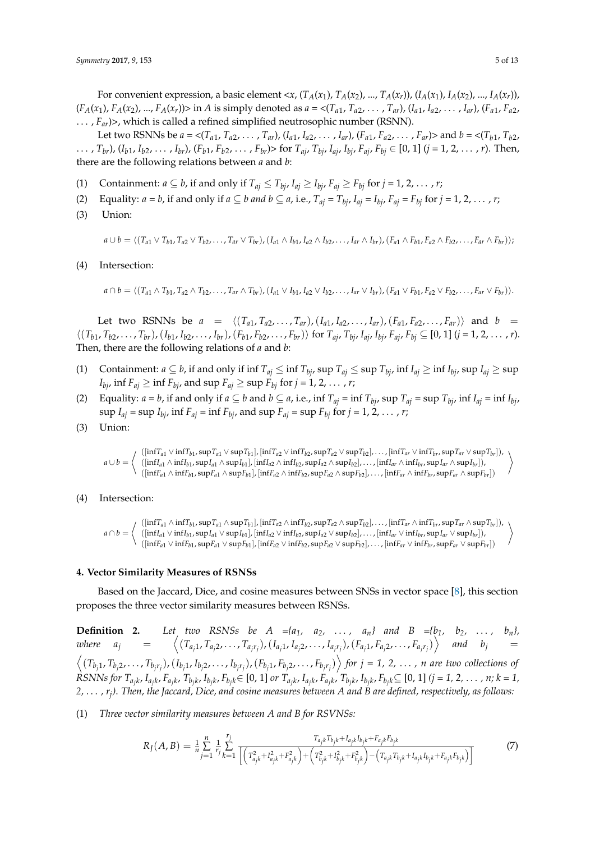For convenient expression, a basic element <x,  $(T_A(x_1), T_A(x_2), ..., T_A(x_r)), (I_A(x_1), I_A(x_2), ..., I_A(x_r)),$  $(F_A(x_1), F_A(x_2), ..., F_A(x_r))$  in A is simply denoted as  $a = \langle (T_{a_1}, T_{a_2}, ..., T_{ar}), (I_{a_1}, I_{a_2}, ..., I_{ar}), (F_{a_1}, F_{a_2}, ..., F_{a_r}) \rangle$ ...,  $F_{ar}$ )>, which is called a refined simplified neutrosophic number (RSNN).

Let two RSNNs be  $a = \langle (T_{a1}, T_{a2}, \ldots, T_{ar}), (I_{a1}, I_{a2}, \ldots, I_{ar}), (F_{a1}, F_{a2}, \ldots, F_{ar}) \rangle$  and  $b = \langle (T_{b1}, T_{b2}, \ldots, T_{ar}), (I_{a1}, I_{a2}, \ldots, I_{ar}) \rangle$ ...,  $T_{br}$ ,  $(I_{b1}, I_{b2}, \ldots, I_{br})$ ,  $(F_{b1}, F_{b2}, \ldots, F_{b1})$ ,  $F_{b2}, \ldots, F_{br}$  for  $T_{ai}$ ,  $T_{bi}$ ,  $I_{ai}$ ,  $I_{bi}$ ,  $F_{ai}$ ,  $F_{bi} \in [0, 1]$   $(j = 1, 2, \ldots, r)$ . Then, there are the following relations between *a* and *b*:

- (1) Containment:  $a \subseteq b$ , if and only if  $T_{ai} \le T_{bi}$ ,  $I_{ai} \ge I_{bi}$ ,  $F_{ai} \ge F_{bi}$  for  $j = 1, 2, ..., r$ ;
- (2) Equality:  $a = b$ , if and only if  $a \subseteq b$  and  $b \subseteq a$ , i.e.,  $T_{ai} = T_{bi}$ ,  $I_{ai} = I_{bi}$ ,  $F_{ai} = F_{bi}$  for  $j = 1, 2, ..., r$ ;
- (3) Union:

 $a \cup b = \langle (T_{a1} \vee T_{b1}, T_{a2} \vee T_{b2}, \ldots, T_{ar} \vee T_{br}), (I_{a1} \wedge I_{b1}, I_{a2} \wedge I_{b2}, \ldots, I_{ar} \wedge I_{br}), (F_{a1} \wedge F_{b1}, F_{a2} \wedge F_{b2}, \ldots, F_{ar} \wedge F_{br}) \rangle$ 

(4) Intersection:

 $a \cap b = \langle (T_{a1} \land T_{b1}, T_{a2} \land T_{b2}, \dots, T_{ar} \land T_{br}), (I_{a1} \lor I_{b1}, I_{a2} \lor I_{b2}, \dots, I_{ar} \lor I_{br}), (F_{a1} \lor F_{b1}, F_{a2} \lor F_{b2}, \dots, F_{ar} \lor F_{br}) \rangle.$ 

Let two RSNNs be  $a = \langle (T_{a1}, T_{a2},..., T_{ar}), (I_{a1}, I_{a2},..., I_{ar}), (F_{a1}, F_{a2},..., F_{ar}) \rangle$  and  $b =$  $\langle (T_{b1}, T_{b2}, \ldots, T_{br}), (I_{b1}, I_{b2}, \ldots, I_{br}), (F_{b1}, F_{b2}, \ldots, F_{br}) \rangle$  for  $T_{aj}, T_{bj}, I_{aj}, I_{bj}, F_{aj}, F_{bj} \subseteq [0, 1]$   $(j = 1, 2, \ldots, r)$ . Then, there are the following relations of *a* and *b*:

- (1) Containment:  $a \subseteq b$ , if and only if inf  $T_{aj} \leq \inf T_{bj}$ ,  $\sup T_{aj} \leq \sup T_{bj}$ ,  $\inf I_{aj} \geq \inf I_{bj}$ ,  $\sup I_{aj} \geq \sup$ *I*<sub>bj</sub>, inf  $F_{aj} \geq \inf F_{bj}$ , and  $\sup F_{aj} \geq \sup F_{bj}$  for  $j = 1, 2, \ldots, r$ ;
- (2) Equality:  $a = b$ , if and only if  $a \subseteq b$  and  $b \subseteq a$ , i.e., inf  $T_{ai} = \inf T_{bi}$ , sup  $T_{ai} = \sup T_{bi}$ , inf  $I_{ai} = \inf I_{bi}$ ,  $\sup I_{aj} = \sup I_{bj}$ ,  $\inf F_{aj} = \inf F_{bj}$ , and  $\sup F_{aj} = \sup F_{bj}$  for  $j = 1, 2, \ldots, r$ ;
- (3) Union:

*a* ∪ *b* =  $\int (\left[\inf T_{a1}\vee\inf T_{b1},\sup T_{a1}\vee\sup T_{b1}\right],\left[\inf T_{a2}\vee\inf T_{b2},\sup T_{a2}\vee\sup T_{b2}\right],\ldots,\left[\inf T_{ar}\vee\inf T_{br},\sup T_{ar}\vee\sup T_{br}\right]),$  $([inf I_{a1} \wedge inf I_{b1}, sup I_{a1} \wedge sup I_{b1}], [inf I_{a2} \wedge inf I_{b2}, sup I_{a2} \wedge sup I_{b2}], \dots, [inf I_{ar} \wedge inf I_{br}, sup I_{ar} \wedge sup I_{br}]),$  $([inf F_{a1} \wedge inf F_{b1}, sup F_{a1} \wedge sup F_{b1}], [inf F_{a2} \wedge inf F_{b2}, sup F_{a2} \wedge sup F_{b2}], \ldots, [inf F_{ar} \wedge inf F_{br}, sup F_{ar} \wedge sup F_{br}])$  $\setminus$ 

(4) Intersection:

*a* ∩ *b* =  $\int (\left[\inf T_{a1} \wedge \inf T_{b1}, \sup T_{a1} \wedge \sup T_{b1}\right], \left[\inf T_{a2} \wedge \inf T_{b2}, \sup T_{a2} \wedge \sup T_{b2}\right], \dots, \left[\inf T_{ar} \wedge \inf T_{br}, \sup T_{ar} \wedge \sup T_{br}\right],$  $([{\rm inf} I_{a1}\vee{\rm inf} I_{b1}, {\rm sup} I_{a1}\vee{\rm sup} I_{b1}], [{\rm inf} I_{a2}\vee{\rm inf} I_{b2}, {\rm sup} I_{a2}\vee{\rm sup} I_{b2}],\ldots, [{\rm inf} I_{ar}\vee{\rm inf} I_{br}, {\rm sup} I_{ar}\vee{\rm sup} I_{br}]),$  $([inf F_{a1} \vee inf F_{b1}, sup F_{a1} \vee sup F_{b1}], [inf F_{a2} \vee inf F_{b2}, sup F_{a2} \vee sup F_{b2}], \dots, [inf F_{ar} \vee inf F_{br}, sup F_{ar} \vee sup F_{br}])$  $\setminus$ 

#### <span id="page-4-0"></span>**4. Vector Similarity Measures of RSNSs**

Based on the Jaccard, Dice, and cosine measures between SNSs in vector space [\[8\]](#page-11-7), this section proposes the three vector similarity measures between RSNSs.

**Definition 2.** Let two RSNSs be  $A = \{a_1, a_2, \ldots, a_n\}$  and  $B = \{b_1, b_2, \ldots, b_n\}$ *where*  $a_j =$  $\langle (T_{a_{j1}}, T_{a_{j2}}, \ldots, T_{a_{j}r_j}), (I_{a_{j1}}, I_{a_{j2}}, \ldots, I_{a_{j}r_j}), (F_{a_{j1}}, F_{a_{j2}}, \ldots, F_{a_{j}r_j}) \rangle$  and  $b_j =$  $\left\langle (T_{b_1 1}, T_{b_1 2}, \ldots, T_{b_j r_j}), (I_{b_1 1}, I_{b_1 2}, \ldots, I_{b_j r_j}), (F_{b_1 1}, F_{b_1 2}, \ldots, F_{b_j r_j}) \right\rangle$  for  $j = 1, 2, \ldots$ , n are two collections of RSNNs for  $T_{a_jk}$ ,  $I_{a_jk}$ ,  $F_{a_jk}$ ,  $T_{b_jk}$ ,  $I_{b_jk}$ ,  $F_{b_jk}$  $\in$  [0, 1] or  $T_{a_jk}$ ,  $I_{a_jk}$ ,  $F_{a_jk}$ ,  $T_{b_jk}$ ,  $I_{b_jk}$ ,  $F_{b_jk}$  $\subseteq$  [0, 1] (j = 1, 2, ..., n; k = 1, *2,* . . . *, r<sup>j</sup> )*. *Then, the Jaccard, Dice, and cosine measures between A and B are defined, respectively, as follows:*

(1) *Three vector similarity measures between A and B for RSVNSs:*

$$
R_{J}(A,B) = \frac{1}{n} \sum_{j=1}^{n} \frac{1}{r_j} \sum_{k=1}^{r_j} \frac{T_{a_{jk}T_{b_{j}k} + I_{a_{j}k}I_{b_{j}k} + F_{a_{j}k}F_{b_{j}k}}}{\left[ \left( T_{a_{j}k}^2 + T_{a_{j}k}^2 + F_{a_{j}k}^2 \right) + \left( T_{b_{j}k}^2 + T_{b_{j}k}^2 + F_{b_{j}k}^2 \right) - \left( T_{a_{j}k}T_{b_{j}k} + T_{a_{j}k}I_{b_{j}k} + F_{a_{j}k}F_{b_{j}k} \right) \right]}
$$
(7)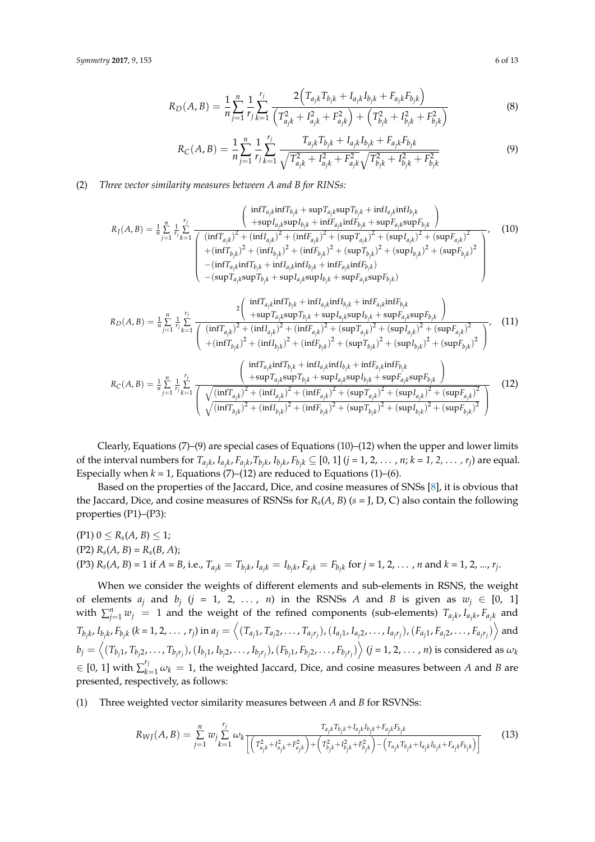$$
R_D(A,B) = \frac{1}{n} \sum_{j=1}^n \frac{1}{r_j} \sum_{k=1}^{r_j} \frac{2\left(T_{ajk} T_{bjk} + I_{ajk} I_{bjk} + F_{ajk} F_{bjk}\right)}{\left(T_{ajk}^2 + I_{ajk}^2 + F_{ajk}^2\right) + \left(T_{bjk}^2 + I_{bjk}^2 + F_{bjk}^2\right)}
$$
(8)

$$
R_C(A,B) = \frac{1}{n} \sum_{j=1}^n \frac{1}{r_j} \sum_{k=1}^{r_j} \frac{T_{ajk} T_{bjk} + I_{ajk} I_{bjk} + F_{ajk} F_{bjk}}{\sqrt{T_{ajk}^2 + I_{ajk}^2 + F_{ajk}^2} \sqrt{T_{bjk}^2 + I_{bjk}^2 + F_{bjk}^2}}
$$
(9)

## (2) *Three vector similarity measures between A and B for RINSs:*

$$
R_{J}(A,B) = \frac{1}{n} \sum_{j=1}^{n} \frac{1}{r_j} \sum_{k=1}^{r_j} \frac{\left(\frac{\inf T_{a_{j}k} \inf T_{b_{j}k} + \sup T_{a_{j}k} \sup T_{b_{j}k} + \inf T_{a_{j}k} \inf T_{b_{j}k}}{(\inf T_{a_{j}k})^{2} + (\inf T_{a_{j}k})^{2} + (\inf T_{a_{j}k})^{2} + (\sup T_{a_{j}k})^{2} + (\sup T_{a_{j}k})^{2} + (\sup T_{a_{j}k})^{2} + (\sup T_{a_{j}k})^{2} + (\sup T_{a_{j}k})^{2} + (\sup T_{a_{j}k})^{2}}{(\inf T_{a_{j}k})^{2} + (\inf T_{b_{j}k})^{2} + (\inf T_{b_{j}k})^{2} + (\inf T_{b_{j}k})^{2} + (\sup T_{b_{j}k})^{2} + (\sup T_{b_{j}k})^{2} + (\sup T_{b_{j}k})^{2} + (\sup T_{b_{j}k})^{2}}{(\inf T_{a_{j}k} \inf T_{b_{j}k} + \inf T_{a_{j}k} \inf T_{b_{j}k} + \inf T_{a_{j}k} \inf T_{b_{j}k}}
$$
\n
$$
-(\sup T_{a_{j}k} \sup T_{b_{j}k} + \sup T_{a_{j}k} \sup T_{b_{j}k} + \sup T_{a_{j}k} \sup T_{b_{j}k} + \sup F_{a_{j}k} \sup F_{b_{j}k})
$$
\n(10)

$$
R_{D}(A,B) = \frac{1}{n} \sum_{j=1}^{n} \frac{1}{r_j} \sum_{k=1}^{r_j} \frac{2 \left( \frac{\inf T_{ajk} \inf T_{bjk} + \inf I_{ajk} \inf I_{bjk} + \inf F_{ajk} \inf F_{bjk}}{(\inf T_{ajk})^2 + (\inf I_{ajk})^2 + (\inf I_{ajk})^2 + (\sup I_{ajk})^2 + (\sup T_{ajk})^2 + (\sup I_{ajk})^2 + (\sup I_{ajk})^2 + (\sup I_{ajk})^2 + (\sup I_{ajk})^2}{(\inf T_{bjk})^2 + (\inf I_{bjk})^2 + (\inf I_{bjk})^2 + (\sup I_{bjk})^2 + (\sup I_{bjk})^2 + (\sup I_{bjk})^2 + (\sup I_{bjk})^2}
$$
(11)

$$
R_{C}(A,B) = \frac{1}{n} \sum_{j=1}^{n} \frac{1}{r_j} \sum_{k=1}^{r_j} \frac{\left(\frac{\inf T_{ajk} \inf T_{bjk} + \inf T_{ajk} \inf T_{bjk} + \inf T_{ajk} \inf T_{bjk}}{(\sqrt{(\inf T_{ajk})^2 + (\inf T_{ajk})^2 + (\inf T_{ajk})^2 + (\sup T_{ajk})^2 + (\sup T_{ajk})^2 + (\sup T_{ajk})^2 + (\sup T_{ajk})^2 + (\sup T_{ajk})^2 + (\sup T_{ajk})^2 + (\sup T_{ajk})^2 + (\sup T_{ajk})^2 + (\sup T_{ajk})^2}}(12)
$$

Clearly, Equations (7)–(9) are special cases of Equations (10)–(12) when the upper and lower limits of the interval numbers for  $T_{a_jk}$ ,  $I_{a_jk}$ ,  $F_{a_jk}$ ,  $T_{b_jk}$ ,  $I_{b_jk}$ ,  $F_{b_jk}$   $\subseteq$  [0, 1]  $(j = 1, 2, ..., n; k = 1, 2, ..., r_j)$  are equal. Especially when  $k = 1$ , Equations (7)–(12) are reduced to Equations (1)–(6).

Based on the properties of the Jaccard, Dice, and cosine measures of SNSs [\[8\]](#page-11-7), it is obvious that the Jaccard, Dice, and cosine measures of RSNSs for *Rs*(*A*, *B*) (*s* = J, D, C) also contain the following properties (P1)–(P3):

 $(P1)$   $0 \leq R_s(A, B) \leq 1$ ;  $(P2)$   $R_s(A, B) = R_s(B, A);$ (P3)  $R_s(A, B) = 1$  if  $A = B$ , i.e.,  $T_{ajk} = T_{b_jk}$ ,  $I_{ajk} = I_{b_jk}$ ,  $F_{a_jk} = F_{b_jk}$  for  $j = 1, 2, ..., n$  and  $k = 1, 2, ..., r_j$ .

When we consider the weights of different elements and sub-elements in RSNS, the weight of elements  $a_j$  and  $b_j$  ( $j = 1, 2, ..., n$ ) in the RSNSs A and B is given as  $w_j \in [0, 1]$ with  $\sum_{j=1}^{n} w_j = 1$  and the weight of the refined components (sub-elements)  $T_{a_jk}$ ,  $I_{a_jk}$ ,  $F_{a_jk}$  and  $T_{b_jk}$ ,  $I_{b_jk}$ ,  $F_{b_jk}$  (k = 1, 2,  $\dots$  ,  $r_j)$  in  $a_j=\left\langle (T_{a_j1},T_{a_j2},\dots,T_{a_jr_j}), (I_{a_j1},I_{a_j2},\dots,I_{a_jr_j}), (F_{a_j1},F_{a_j2},\dots,F_{a_jr_j})\right\rangle$  and  $b_j=\left\langle (T_{b_j1},T_{b_j2},\ldots,T_{b_jr_j}),(I_{b_j1},I_{b_j2},\ldots,I_{b_jr_j}),(F_{b_j1},F_{b_j2},\ldots,F_{b_jr_j})\right\rangle (j=1,2,\ldots,n)$  is considered as  $\omega_k$  $\in$  [0, 1] with  $\sum_{k=1}^{r_j} \omega_k = 1$ , the weighted Jaccard, Dice, and cosine measures between *A* and *B* are presented, respectively, as follows:

(1) Three weighted vector similarity measures between *A* and *B* for RSVNSs:

$$
R_{WJ}(A,B) = \sum_{j=1}^{n} w_j \sum_{k=1}^{r_j} \omega_k \frac{T_{a_{jk}}T_{b_{jk}+T_{a_{jk}}}}{\left[\left(T_{a_{jk}+T_{a_{jk}}+T_{a_{jk}}+F_{a_{jk}}^2}\right) + \left(T_{b_{jk}+T_{b_{jk}}+F_{b_{jk}}^2}\right) - \left(T_{a_{jk}+T_{b_{jk}+T_{a_{jk}}}}T_{b_{jk}+F_{a_{jk}}F_{b_{jk}}}\right)\right]}
$$
(13)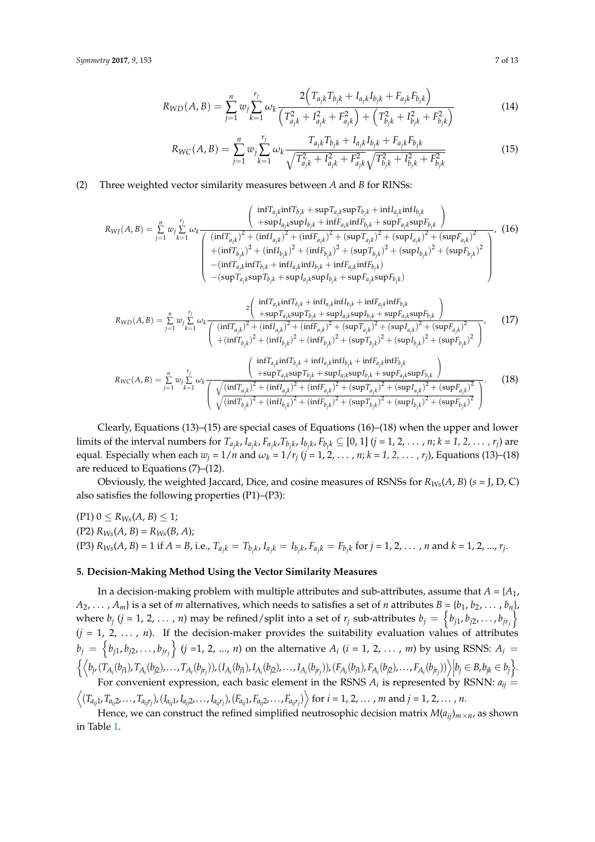$$
R_{WD}(A,B) = \sum_{j=1}^{n} w_j \sum_{k=1}^{r_j} \omega_k \frac{2(T_{ajk}T_{bjk} + I_{ajk}I_{bjk} + F_{ajk}F_{bjk})}{(T_{ajk}^2 + I_{ajk}^2 + F_{ajk}^2) + (T_{bjk}^2 + I_{bjk}^2 + F_{bjk}^2)}
$$
(14)

$$
R_{WC}(A, B) = \sum_{j=1}^{n} w_j \sum_{k=1}^{r_j} \omega_k \frac{T_{a_{jk}} T_{b_{jk}} + I_{a_{jk}} I_{b_{jk}} + F_{a_{jk}} F_{b_{jk}}}{\sqrt{T_{a_{jk}}^2 + I_{a_{jk}}^2 + F_{a_{jk}}^2} \sqrt{T_{b_{jk}}^2 + I_{b_{jk}}^2 + F_{b_{jk}}^2}}
$$
(15)

## (2) Three weighted vector similarity measures between *A* and *B* for RINSs:

*RW J*(*A*, *B*) = *n* ∑ *j*=1 *wj rj* ∑ *k*=1 *ωk* inf*Taj<sup>k</sup>* inf*Tbj<sup>k</sup>* + sup*Tajk*sup*Tbj<sup>k</sup>* + inf*Iaj<sup>k</sup>* inf*Ibj<sup>k</sup>* +sup*Iajk*sup*Ibj<sup>k</sup>* + inf*Faj<sup>k</sup>* inf*Fbj<sup>k</sup>* + sup*Fajk*sup*Fbj<sup>k</sup>* (inf*Taj<sup>k</sup>* ) <sup>2</sup> + (inf*I ajk* ) <sup>2</sup> + (inf*Faj<sup>k</sup>* ) <sup>2</sup> + (sup*Taj<sup>k</sup>* ) <sup>2</sup> + (sup*I ajk* ) <sup>2</sup> + (sup*Faj<sup>k</sup>* ) 2 +(inf*Tbj<sup>k</sup>* ) <sup>2</sup> + (inf*I bjk* ) <sup>2</sup> + (inf*Fbj<sup>k</sup>* ) <sup>2</sup> + (sup*Tbj<sup>k</sup>* ) <sup>2</sup> + (sup*I bjk* ) <sup>2</sup> + (sup*Fbj<sup>k</sup>* ) 2 −(inf*Taj<sup>k</sup>* inf*Tbj<sup>k</sup>* + inf*Iaj<sup>k</sup>* inf*Ibj<sup>k</sup>* + inf*Faj<sup>k</sup>* inf*Fbjk*) −(sup*Tajk*sup*Tbj<sup>k</sup>* + sup*Iajk*sup*Ibj<sup>k</sup>* + sup*Fajk*sup*Fbjk*) , (16)

$$
R_{WD}(A,B) = \sum_{j=1}^{n} w_j \sum_{k=1}^{r_j} \omega_k \frac{2 \left( \frac{\inf T_{a_j k} \inf T_{b_j k} + \inf I_{a_j k} \inf I_{b_j k} + \inf F_{a_j k} \inf T_{b_j k}}{+\sup T_{a_j k} \sup T_{b_j k} + \sup I_{a_j k} \sup I_{b_j k} + \sup F_{a_j k} \sup F_{b_j k}} \right)}{\left( \frac{(\inf T_{a_j k})^2 + (\inf I_{a_j k})^2 + (\inf F_{a_j k})^2 + (\sup T_{a_j k})^2 + (\sup T_{a_j k})^2 + (\sup T_{a_j k})^2 + (\sup I_{a_j k})^2 + (\sup F_{a_j k})^2}{+\left(\inf T_{b_j k}\right)^2 + (\inf F_{b_j k})^2 + (\sup T_{b_j k})^2 + (\sup T_{b_j k})^2 + (\sup F_{b_j k})^2 + (\sup F_{b_j k})^2} \right)},
$$
(17)

$$
R_{WC}(A, B) = \sum_{j=1}^{n} w_j \sum_{k=1}^{r_j} \omega_k \frac{\left(\frac{\inf T_{a_{jk}} \inf T_{b_{jk}} + \inf I_{a_{jk}} \inf I_{b_{jk}} + \inf F_{a_{jk}} \inf F_{b_{jk}}}{\sum_{k=1}^{r_j} \omega_k \frac{\left(\frac{\inf T_{a_{jk}} \sup T_{b_{jk}} + \sup I_{a_{jk}} \sup I_{b_{jk}} + \sup F_{a_{jk}} \sup F_{b_{jk}}}{\sqrt{(\inf T_{a_{jk}})^2 + (\inf I_{a_{jk}})^2 + (\inf F_{a_{jk}})^2 + (\sup T_{a_{jk}})^2 + (\sup T_{a_{jk}})^2 + (\sup I_{a_{jk}})^2 + (\sup F_{a_{jk}})^2}}\right)} (18)
$$

Clearly, Equations (13)–(15) are special cases of Equations (16)–(18) when the upper and lower limits of the interval numbers for  $T_{a_jk}$ ,  $I_{a_jk}$ ,  $F_{a_jk}$ ,  $T_{b_jk}$ ,  $I_{b_jk}$ ,  $F_{b_jk}$   $\subseteq$  [0, 1]  $(j = 1, 2, ..., n; k = 1, 2, ..., r_j)$  are equal. Especially when each  $w_j = 1/n$  and  $\omega_k = 1/r_j$   $(j = 1, 2, \ldots, n; k = 1, 2, \ldots, r_j)$ , Equations (13)–(18) are reduced to Equations (7)–(12).

Obviously, the weighted Jaccard, Dice, and cosine measures of RSNSs for  $R_{W_s}(A, B)$  ( $s = J, D, C$ ) also satisfies the following properties (P1)–(P3):

 $(P1) 0 \le R_{Ws}(A, B) \le 1;$ (P2) *RWs*(*A*, *B*) = *RWs*(*B*, *A*); (P3)  $R_{Ws}(A, B) = 1$  if  $A = B$ , i.e.,  $T_{a_j k} = T_{b_j k}$ ,  $I_{a_j k} = I_{b_j k}$ ,  $F_{a_j k} = F_{b_j k}$  for  $j = 1, 2, ..., n$  and  $k = 1, 2, ..., r_j$ .

#### <span id="page-6-0"></span>**5. Decision-Making Method Using the Vector Similarity Measures**

In a decision-making problem with multiple attributes and sub-attributes, assume that  $A = \{A_1, A_2, \ldots, A_n\}$  $A_2, \ldots, A_m$  is a set of *m* alternatives, which needs to satisfies a set of *n* attributes  $B = \{b_1, b_2, \ldots, b_n\}$ where  $b_j$  (*j* = 1, 2, ..., *n*) may be refined/split into a set of  $r_j$  sub-attributes  $b_j = \{b_{j1}, b_{j2}, \ldots, b_{jr_j}\}$  $(j = 1, 2, ..., n)$ . If the decision-maker provides the suitability evaluation values of attributes  $b_j=\left\{b_{j1},b_{j2},\ldots,b_{jr_j}\right\}$   $(j$  =1, 2, …,  $n)$  on the alternative  $A_i$   $(i=1,\,2,\,\ldots$  ,  $m)$  by using RSNS:  $A_i=$  $\left\{ \left\langle b_{j}, (T_{A_i}(b_{j1}), T_{A_i}(b_{j2}), \ldots, T_{A_i}(b_{jr_j})), (I_{A_i}(b_{j1}), I_{A_i}(b_{j2}), \ldots, I_{A_i}(b_{jr_j})), (F_{A_i}(b_{j1}), F_{A_i}(b_{j2}), \ldots, F_{A_i}(b_{jr_j})) \right\rangle \middle| b_j \in B, b_{jk} \in b_j \right\}.$ For convenient expression, each basic element in the RSNS  $A_i$  is represented by RSNN:  $a_{ij}$  =

 $\left\langle (T_{a_{ij}1},T_{a_{ij}2},\ldots,T_{a_{ij}r_j}),(I_{a_{ij}1},I_{a_{ij}2},\ldots,I_{a_{ij}r_j}),(F_{a_{ij}1},F_{a_{ij}2},\ldots,F_{a_{ij}r_j})\right\rangle$  for  $i=1,2,\ldots,m$  and  $j=1,2,\ldots,n$ .

Hence, we can construct the refined simplified neutrosophic decision matrix  $M(a_{ij})_{m \times n}$ , as shown in Table [1.](#page-7-1)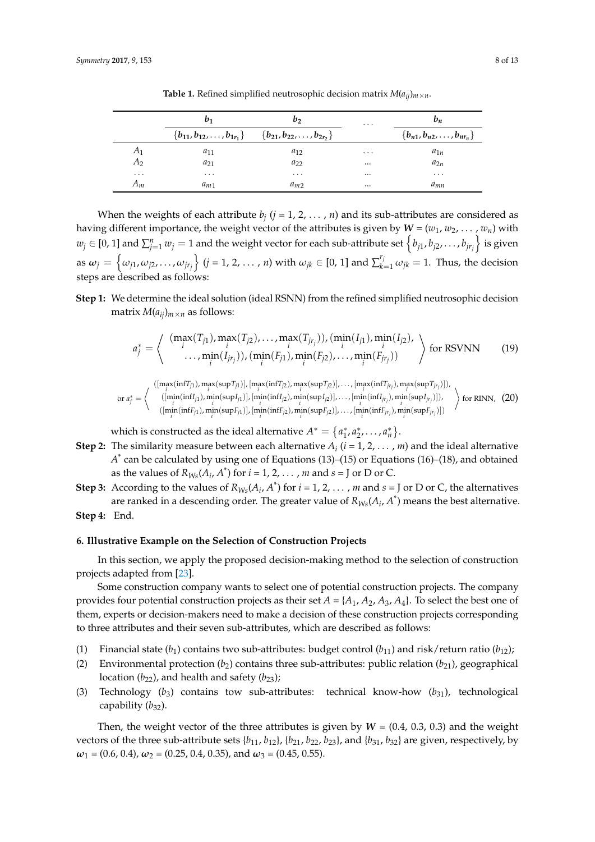<span id="page-7-1"></span>

|           | $b_1$    | b <sub>2</sub>                                                                 | $\cdots$  | $b_n$                                |
|-----------|----------|--------------------------------------------------------------------------------|-----------|--------------------------------------|
|           |          | ${b_{11}, b_{12}, \ldots, b_{1r_1}} \qquad {b_{21}, b_{22}, \ldots, b_{2r_2}}$ |           | ${b_{n1}, b_{n2}, \ldots, b_{nr_n}}$ |
| A1        | $a_{11}$ | $a_{12}$                                                                       | $\ddotsc$ | $a_{1n}$                             |
| A         | $a_{21}$ | $a_{22}$                                                                       | $\cdots$  | $a_{2n}$                             |
| $\ddotsc$ | $\cdots$ | $\cdots$                                                                       | $\cdots$  | $\cdots$                             |
| $A_m$     | $a_{m1}$ | $a_{m2}$                                                                       | $\cdots$  | a <sub>mn</sub>                      |

**Table 1.** Refined simplified neutrosophic decision matrix  $M(a_{ij})_{m \times n}$ .

When the weights of each attribute  $b_j$   $(j = 1, 2, \ldots, n)$  and its sub-attributes are considered as having different importance, the weight vector of the attributes is given by  $W = (w_1, w_2, \dots, w_n)$  with  $w_j\in[0,1]$  and  $\sum_{j=1}^nw_j=1$  and the weight vector for each sub-attribute set  $\left\{b_{j1},b_{j2},\ldots,b_{jr_j}\right\}$  is given as  $\omega_j=\left\{\omega_{j1},\omega_{j2},\dots,\omega_{jr_j}\right\}$   $(j=1,2,\dots$  , n) with  $\omega_{jk}\in[0,1]$  and  $\sum_{k=1}^{r_j}\omega_{jk}=1.$  Thus, the decision steps are described as follows:

**Step 1:** We determine the ideal solution (ideal RSNN) from the refined simplified neutrosophic decision matrix  $M(a_{ij})_{m \times n}$  as follows:

$$
a_j^* = \left\langle \begin{array}{c} (\max_i(T_{j1}), \max_i(T_{j2}), \dots, \max_i(T_{jr_j})), (\min_i(I_{j1}), \min_i(I_{j2}), \\ \dots, \min_i(I_{jr_j})), (\min_i(F_{j1}), \min_i(F_{j2}), \dots, \min_i(F_{jr_j})) \end{array} \right\rangle
$$
 for RSVNN (19)

 $(\left[\max(\inf T_{j1}), \max(\sup T_{j1})\right], \left[\max(\inf T_{j2}), \max(\sup T_{j2})\right], \dots, \left[\max(\inf T_{jr_j}), \max(\sup T_{jr_j})\right]),$ 

or 
$$
a_j^* = \left\langle \begin{array}{c} \left( \min_i(\inf I_{j1}), \min_i(\sup I_{j1}) \right), \left[ \min_i(\inf I_{j2}), \min_i(\sup I_{j2}) \right], \dots, \left[ \min_i(\inf I_{jr_j}), \min_i(\sup I_{jr_j}) \right], \\ \left( \min_i(\inf I_{j1}), \min_i(\sup I_{j1}) \right), \left[ \min_i(\inf I_{j2}), \min_i(\sup I_{j2}) \right], \dots, \left[ \min_i(\inf I_{jr_j}), \min_i(\sup I_{jr_j}) \right] \end{array} \right\rangle
$$
 for RINN, (20)

which is constructed as the ideal alternative  $A^* = \{a_1^*, a_2^*, \ldots, a_n^*\}$ .

- **Step 2:** The similarity measure between each alternative  $A_i$  ( $i = 1, 2, ..., m$ ) and the ideal alternative *A* \* can be calculated by using one of Equations (13)–(15) or Equations (16)–(18), and obtained as the values of  $R_{Ws}(A_i, A^*)$  for  $i = 1, 2, \ldots, m$  and  $s = J$  or D or C.
- **Step 3:** According to the values of  $R_{W_s}(A_i, A^*)$  for  $i = 1, 2, ..., m$  and  $s = J$  or D or C, the alternatives are ranked in a descending order. The greater value of  $R_{Ws}(A_i, A^*)$  means the best alternative.
- **Step 4:** End.

## <span id="page-7-0"></span>**6. Illustrative Example on the Selection of Construction Projects**

In this section, we apply the proposed decision-making method to the selection of construction projects adapted from [\[23\]](#page-12-6).

Some construction company wants to select one of potential construction projects. The company provides four potential construction projects as their set  $A = \{A_1, A_2, A_3, A_4\}$ . To select the best one of them, experts or decision-makers need to make a decision of these construction projects corresponding to three attributes and their seven sub-attributes, which are described as follows:

- (1) Financial state  $(b_1)$  contains two sub-attributes: budget control  $(b_{11})$  and risk/return ratio  $(b_{12})$ ;
- (2) Environmental protection  $(b_2)$  contains three sub-attributes: public relation  $(b_{21})$ , geographical location  $(b_{22})$ , and health and safety  $(b_{23})$ ;
- (3) Technology (*b*3) contains tow sub-attributes: technical know-how (*b*31), technological capability ( $b_{32}$ ).

Then, the weight vector of the three attributes is given by  $W = (0.4, 0.3, 0.3)$  and the weight vectors of the three sub-attribute sets  $\{b_{11}, b_{12}\}$ ,  $\{b_{21}, b_{22}, b_{23}\}$ , and  $\{b_{31}, b_{32}\}$  are given, respectively, by  $\omega_1$  = (0.6, 0.4),  $\omega_2$  = (0.25, 0.4, 0.35), and  $\omega_3$  = (0.45, 0.55).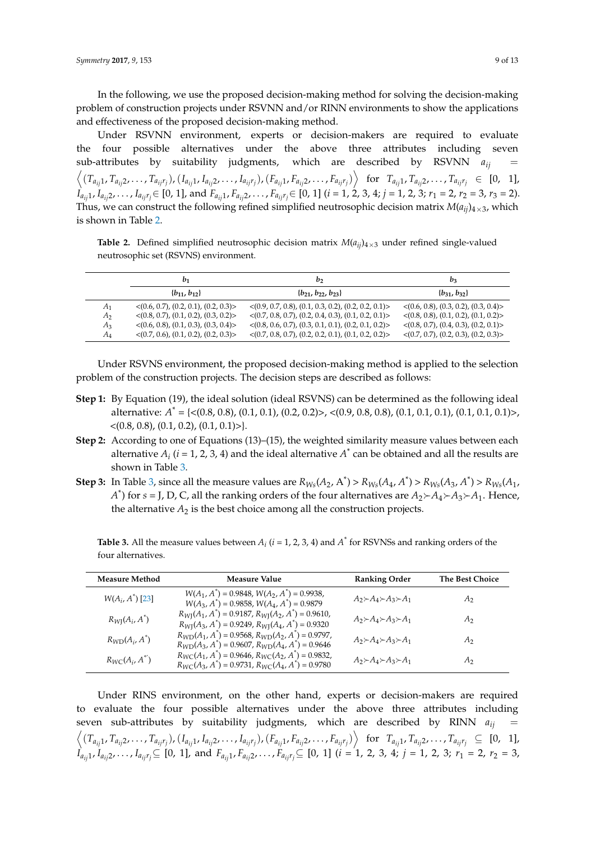In the following, we use the proposed decision-making method for solving the decision-making problem of construction projects under RSVNN and/or RINN environments to show the applications and effectiveness of the proposed decision-making method.

Under RSVNN environment, experts or decision-makers are required to evaluate the four possible alternatives under the above three attributes including seven sub-attributes by suitability judgments, which are described by RSVNN  $a_{ij}$  $\left\langle (T_{a_{ij}1}, T_{a_{ij}2}, \ldots, T_{a_{ij}r_j}), (I_{a_{ij}1}, I_{a_{ij}2}, \ldots, I_{a_{ij}r_j}), (F_{a_{ij}1}, F_{a_{ij}2}, \ldots, F_{a_{ij}r_j}) \right\rangle$  for  $T_{a_{ij}1}, T_{a_{ij}2}, \ldots, T_{a_{ij}r_j} \in [0, 1],$  $I_{a_{ij}1}$ ,  $I_{a_{ij}2}$ ,  $\ldots$  ,  $I_{a_{ij}r_j}$   $\in$  [0, 1], and  $F_{a_{ij}1}$ ,  $F_{a_{ij}2}$ ,  $\ldots$  ,  $F_{a_{ij}r_j}$   $\in$  [0, 1] ( $i$  = 1, 2, 3, 4;  $j$  = 1, 2, 3;  $r_1$  = 2,  $r_2$  = 3,  $r_3$  = 2). Thus, we can construct the following refined simplified neutrosophic decision matrix  $M(a_{ii})_{4\times3}$ , which is shown in Table [2.](#page-8-0)

<span id="page-8-0"></span>**Table 2.** Defined simplified neutrosophic decision matrix  $M(a_{ii})_{4\times3}$  under refined single-valued neutrosophic set (RSVNS) environment.

|                | $b_1$                                                | b <sub>2</sub>                                                      | $b_3$                                                |
|----------------|------------------------------------------------------|---------------------------------------------------------------------|------------------------------------------------------|
|                | ${b_{11}, b_{12}}$                                   | $\{b_{21}, b_{22}, b_{23}\}\$                                       | ${b_{31}, b_{32}}$                                   |
| A <sub>1</sub> | $\langle (0.6, 0.7), (0.2, 0.1), (0.2, 0.3) \rangle$ | $\langle (0.9, 0.7, 0.8), (0.1, 0.3, 0.2), (0.2, 0.2, 0.1) \rangle$ | $\langle (0.6, 0.8), (0.3, 0.2), (0.3, 0.4) \rangle$ |
| A2             | $\langle (0.8, 0.7), (0.1, 0.2), (0.3, 0.2) \rangle$ | $\langle (0.7, 0.8, 0.7), (0.2, 0.4, 0.3), (0.1, 0.2, 0.1) \rangle$ | $\langle (0.8, 0.8), (0.1, 0.2), (0.1, 0.2) \rangle$ |
| $A_3$          | $\langle (0.6, 0.8), (0.1, 0.3), (0.3, 0.4) \rangle$ | $\langle (0.8, 0.6, 0.7), (0.3, 0.1, 0.1), (0.2, 0.1, 0.2) \rangle$ | $\langle (0.8, 0.7), (0.4, 0.3), (0.2, 0.1) \rangle$ |
| $A_4$          | $\langle (0.7, 0.6), (0.1, 0.2), (0.2, 0.3) \rangle$ | $\langle (0.7, 0.8, 0.7), (0.2, 0.2, 0.1), (0.1, 0.2, 0.2) \rangle$ | $\langle (0.7, 0.7), (0.2, 0.3), (0.2, 0.3) \rangle$ |

Under RSVNS environment, the proposed decision-making method is applied to the selection problem of the construction projects. The decision steps are described as follows:

- **Step 1:** By Equation (19), the ideal solution (ideal RSVNS) can be determined as the following ideal alternative: *A* \* = {<(0.8, 0.8), (0.1, 0.1), (0.2, 0.2)>, <(0.9, 0.8, 0.8), (0.1, 0.1, 0.1), (0.1, 0.1, 0.1)>,  $\langle (0.8, 0.8), (0.1, 0.2), (0.1, 0.1) \rangle$ .
- **Step 2:** According to one of Equations (13)–(15), the weighted similarity measure values between each alternative  $A_i$  ( $i = 1, 2, 3, 4$ ) and the ideal alternative  $A^*$  can be obtained and all the results are shown in Table [3.](#page-8-1)
- **Step 3:** In Table [3,](#page-8-1) since all the measure values are  $R_{Ws}(A_2, A^*) > R_{Ws}(A_4, A^*) > R_{Ws}(A_3, A^*) > R_{Ws}(A_1, A_2, A^*)$ *A*<sup>\*</sup>) for *s* = J, D, C, all the ranking orders of the four alternatives are  $A_2 \rightarrow A_4 \rightarrow A_3 \rightarrow A_1$ . Hence, the alternative  $A_2$  is the best choice among all the construction projects.

<span id="page-8-1"></span>**Table 3.** All the measure values between  $A_i$  ( $i = 1, 2, 3, 4$ ) and  $A^*$  for RSVNSs and ranking orders of the four alternatives.

| <b>Measure Method</b>   | Measure Value                                                                                                                     | <b>Ranking Order</b>                                  | The Best Choice |
|-------------------------|-----------------------------------------------------------------------------------------------------------------------------------|-------------------------------------------------------|-----------------|
| $W(A_i, A^*)$ [23]      | $W(A_1, A^*)$ = 0.9848, $W(A_2, A^*)$ = 0.9938,<br>$W(A_3, A^*)$ = 0.9858, $W(A_4, A^*)$ = 0.9879                                 | $A_2 \rightarrow A_4 \rightarrow A_3 \rightarrow A_1$ | $A_2$           |
| $R_{WI}(A_i, A^*)$      | $R_{\text{WI}}(A_1, A^*) = 0.9187, R_{\text{WI}}(A_2, A^*) = 0.9610,$<br>$R_{WI}(A_3, A^*)$ = 0.9249, $R_{WI}(A_4, A^*)$ = 0.9320 | $A_2 \rightarrow A_4 \rightarrow A_3 \rightarrow A_1$ | A <sub>2</sub>  |
| $R_{WD}(A_i, A^*)$      | $R_{WD}(A_1, A^*)$ = 0.9568, $R_{WD}(A_2, A^*)$ = 0.9797,<br>$R_{WD}(A_3, A^*)$ = 0.9607, $R_{WD}(A_4, A^*)$ = 0.9646             | $A_2 \rightarrow A_4 \rightarrow A_3 \rightarrow A_1$ | A <sub>2</sub>  |
| $R_{WC}(A_i, A^{\ast})$ | $R_{WC}(A_1, A^*)$ = 0.9646, $R_{WC}(A_2, A^*)$ = 0.9832,<br>$R_{WC}(A_3, A^*)$ = 0.9731, $R_{WC}(A_4, A^*)$ = 0.9780             | $A_2 \rightarrow A_4 \rightarrow A_3 \rightarrow A_1$ | А2              |

Under RINS environment, on the other hand, experts or decision-makers are required to evaluate the four possible alternatives under the above three attributes including seven sub-attributes by suitability judgments, which are described by RINN  $a_{ij}$  $\left\langle (T_{a_{ij}1}, T_{a_{ij}2}, \ldots, T_{a_{ij}r_j}), (I_{a_{ij}1}, I_{a_{ij}2}, \ldots, I_{a_{ij}r_j}), (F_{a_{ij}1}, F_{a_{ij}2}, \ldots, F_{a_{ij}r_j}) \right\rangle$  for  $T_{a_{ij}1}, T_{a_{ij}2}, \ldots, T_{a_{ij}r_j} \subseteq [0, 1],$  $I_{a_{ij}1}$ ,  $I_{a_{ij}2}$ , . . . ,  $I_{a_{ij}r_j}\subseteq$  [0, 1], and  $F_{a_{ij}1}$ ,  $F_{a_{ij}2}$ , . . . ,  $F_{a_{ij}r_j}\subseteq$  [0, 1] ( $i=1,2,3,4;$   $j=1,2,3;$   $r_1=2, r_2=3,$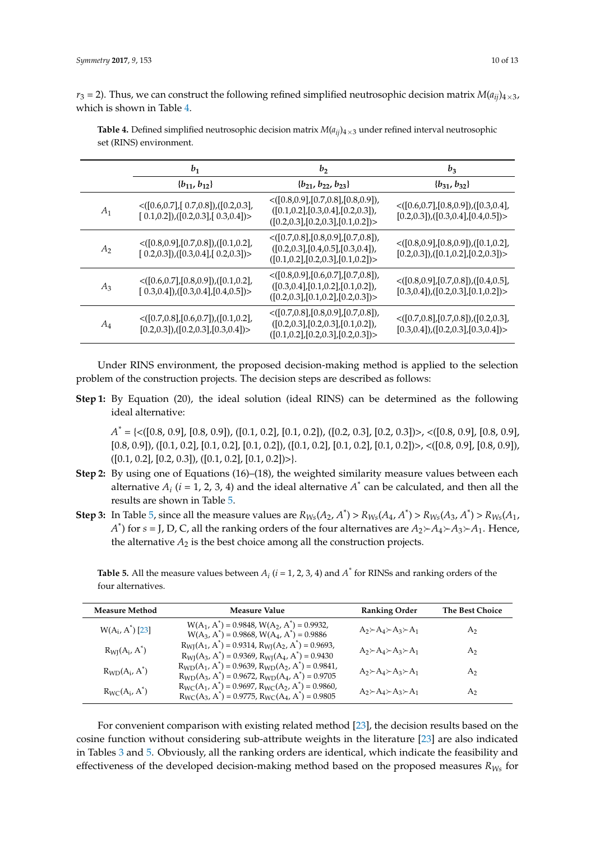$r_3$  = 2). Thus, we can construct the following refined simplified neutrosophic decision matrix  $M(a_{ij})$ <sub>4×3</sub>, which is shown in Table [4.](#page-9-0)

|                | $b_1$                                                                                          | b <sub>2</sub>                                                                                                                        | $b_3$                                                                                            |
|----------------|------------------------------------------------------------------------------------------------|---------------------------------------------------------------------------------------------------------------------------------------|--------------------------------------------------------------------------------------------------|
|                | ${b_{11}, b_{12}}$                                                                             | ${b_{21}, b_{22}, b_{23}}$                                                                                                            | ${b_{31}, b_{32}}$                                                                               |
| $A_1$          | $\langle [0.6, 0.7], [0.7, 0.8], [0.2, 0.3],$<br>$[0.1, 0.2]$ , $[0.2, 0.3]$ , $[0.3, 0.4]$    | $\langle [0.8, 0.9], [0.7, 0.8], [0.8, 0.9] \rangle$<br>([0.1, 0.2], [0.3, 0.4], [0.2, 0.3]),<br>([0.2, 0.3], [0.2, 0.3], [0.1, 0.2]) | $\langle [0.6, 0.7], [0.8, 0.9], ([0.3, 0.4],$<br>$[0.2, 0.3]$ , $([0.3, 0.4]$ , $[0.4, 0.5])$   |
| A <sub>2</sub> | $\langle [0.8, 0.9], [0.7, 0.8], [0.1, 0.2],$<br>$[0.2, 0.3]$ , $([0.3, 0.4]$ , $[0.2, 0.3])$  | $\langle [0.7, 0.8], [0.8, 0.9], [0.7, 0.8] \rangle$<br>([0.2, 0.3], [0.4, 0.5], [0.3, 0.4]),<br>([0.1, 0.2], [0.2, 0.3], [0.1, 0.2]) | $\langle [0.8, 0.9], [0.8, 0.9], [0.1, 0.2],$<br>$[0.2, 0.3]$ , $([0.1, 0.2]$ , $[0.2, 0.3])$    |
| $A_3$          | $\langle [0.6, 0.7], [0.8, 0.9], ([0.1, 0.2],$<br>$[0.3, 0.4]$ , $([0.3, 0.4]$ , $[0.4, 0.5])$ | $\langle [0.8, 0.9], [0.6, 0.7], [0.7, 0.8] \rangle$<br>([0.3, 0.4], [0.1, 0.2], [0.1, 0.2]),<br>([0.2, 0.3], [0.1, 0.2], [0.2, 0.3]) | $\langle [0.8, 0.9], [0.7, 0.8], [0.4, 0.5],$<br>$[0.3, 0.4]$ , $([0.2, 0.3], [0.1, 0.2])$       |
| $A_4$          | $\langle$ ([0.7,0.8],[0.6,0.7]),([0.1,0.2],<br>$[0.2, 0.3]$ , $([0.2, 0.3]$ , $[0.3, 0.4]$     | $\langle [0.7, 0.8], [0.8, 0.9], [0.7, 0.8] \rangle$<br>([0.2, 0.3], [0.2, 0.3], [0.1, 0.2]),<br>([0.1, 0.2], [0.2, 0.3], [0.2, 0.3]) | $\langle [0.7, 0.8], [0.7, 0.8], [0.2, 0.3],$<br>$[0.3, 0.4]$ , $([0.2, 0.3]$ , $[0.3, 0.4]$ ) > |

<span id="page-9-0"></span>**Table 4.** Defined simplified neutrosophic decision matrix  $M(a_{ii})_{4\times3}$  under refined interval neutrosophic set (RINS) environment.

Under RINS environment, the proposed decision-making method is applied to the selection problem of the construction projects. The decision steps are described as follows:

**Step 1:** By Equation (20), the ideal solution (ideal RINS) can be determined as the following ideal alternative:

*A \** = {<([0.8, 0.9], [0.8, 0.9]), ([0.1, 0.2], [0.1, 0.2]), ([0.2, 0.3], [0.2, 0.3])>, <([0.8, 0.9], [0.8, 0.9],  $[0.8, 0.9]$ ),  $([0.1, 0.2]$ ,  $[0.1, 0.2]$ ,  $[0.1, 0.2]$ ),  $([0.1, 0.2]$ ,  $[0.1, 0.2]$ ,  $[0.1, 0.2]$ )>,  $\langle([0.8, 0.9]$ ,  $[0.8, 0.9]$ ),  $([0.1, 0.2], [0.2, 0.3]), ([0.1, 0.2], [0.1, 0.2])\rangle.$ 

- **Step 2:** By using one of Equations (16)–(18), the weighted similarity measure values between each alternative  $A_i$  ( $i = 1, 2, 3, 4$ ) and the ideal alternative  $A^*$  can be calculated, and then all the results are shown in Table [5.](#page-9-1)
- **Step 3:** In Table [5,](#page-9-1) since all the measure values are  $R_{Ws}(A_2, A^*) > R_{Ws}(A_4, A^*) > R_{Ws}(A_3, A^*) > R_{Ws}(A_1, A_2, A^*)$ *A*<sup>\*</sup>) for *s* = J, D, C, all the ranking orders of the four alternatives are  $A_2 \rightarrow A_4 \rightarrow A_3 \rightarrow A_1$ . Hence, the alternative  $A_2$  is the best choice among all the construction projects.

<span id="page-9-1"></span>**Table 5.** All the measure values between  $A_i$  ( $i = 1, 2, 3, 4$ ) and  $A^*$  for RINSs and ranking orders of the four alternatives.

| <b>Measure Method</b> | Measure Value                                                                                                                                        | <b>Ranking Order</b>                                  | <b>The Best Choice</b> |
|-----------------------|------------------------------------------------------------------------------------------------------------------------------------------------------|-------------------------------------------------------|------------------------|
| $W(A_i, A^*)$ [23]    | $W(A_1, A^*)$ = 0.9848, $W(A_2, A^*)$ = 0.9932,<br>$W(A_3, A^*)$ = 0.9868, $W(A_4, A^*)$ = 0.9886                                                    | $A_2 \rightarrow A_4 \rightarrow A_3 \rightarrow A_1$ | A <sub>2</sub>         |
| $R_{WI}(A_i, A^*)$    | $R_{\text{WI}}(A_1, A^*) = 0.9314$ , $R_{\text{WI}}(A_2, A^*) = 0.9693$ ,<br>$R_{\text{WI}}(A_3, A^*) = 0.9369$ , $R_{\text{WI}}(A_4, A^*) = 0.9430$ | $A_2 \rightarrow A_4 \rightarrow A_3 \rightarrow A_1$ | A <sub>2</sub>         |
| $R_{WD}(A_i, A^*)$    | $R_{WD}(A_1, A^*)$ = 0.9639, $R_{WD}(A_2, A^*)$ = 0.9841,<br>$R_{WD}(A_3, A^*) = 0.9672$ , $R_{WD}(A_4, A^*) = 0.9705$                               | $A_2 \rightarrow A_4 \rightarrow A_3 \rightarrow A_1$ | A <sub>2</sub>         |
| $R_{WC}(A_i, A^*)$    | $R_{WC}(A_1, A^*)$ = 0.9697, $R_{WC}(A_2, A^*)$ = 0.9860,<br>$R_{WC}(A_3, A^*)$ = 0.9775, $R_{WC}(A_4, A^*)$ = 0.9805                                | $A_2 \rightarrow A_4 \rightarrow A_3 \rightarrow A_1$ | A <sub>2</sub>         |

For convenient comparison with existing related method [\[23\]](#page-12-6), the decision results based on the cosine function without considering sub-attribute weights in the literature [\[23\]](#page-12-6) are also indicated in Tables [3](#page-8-1) and [5.](#page-9-1) Obviously, all the ranking orders are identical, which indicate the feasibility and effectiveness of the developed decision-making method based on the proposed measures *RWs* for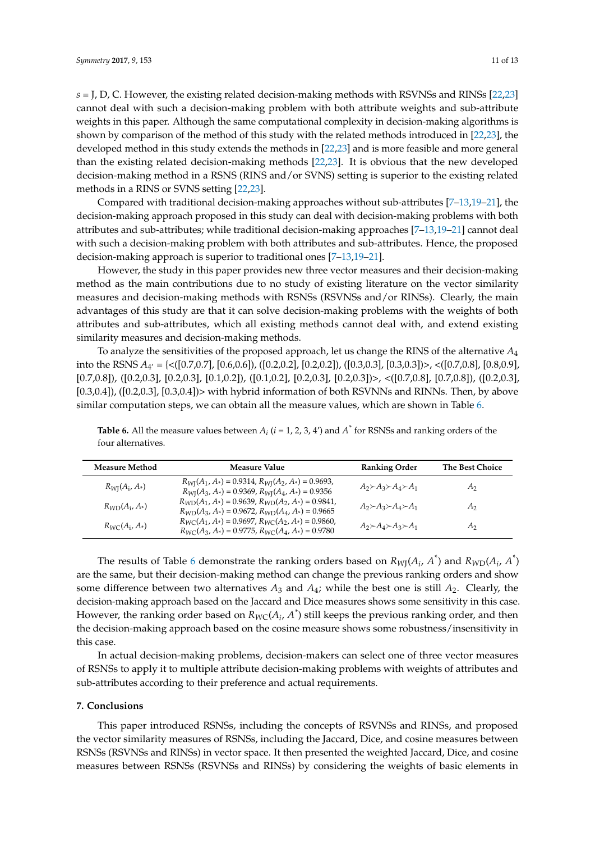*s* = J, D, C. However, the existing related decision-making methods with RSVNSs and RINSs [\[22](#page-12-5)[,23\]](#page-12-6) cannot deal with such a decision-making problem with both attribute weights and sub-attribute weights in this paper. Although the same computational complexity in decision-making algorithms is shown by comparison of the method of this study with the related methods introduced in [\[22](#page-12-5)[,23\]](#page-12-6), the developed method in this study extends the methods in [\[22](#page-12-5)[,23\]](#page-12-6) and is more feasible and more general than the existing related decision-making methods [\[22](#page-12-5)[,23\]](#page-12-6). It is obvious that the new developed decision-making method in a RSNS (RINS and/or SVNS) setting is superior to the existing related methods in a RINS or SVNS setting [\[22](#page-12-5)[,23\]](#page-12-6).

Compared with traditional decision-making approaches without sub-attributes [\[7–](#page-11-6)[13](#page-11-8)[,19–](#page-12-3)[21\]](#page-12-4), the decision-making approach proposed in this study can deal with decision-making problems with both attributes and sub-attributes; while traditional decision-making approaches [\[7–](#page-11-6)[13,](#page-11-8)[19](#page-12-3)[–21\]](#page-12-4) cannot deal with such a decision-making problem with both attributes and sub-attributes. Hence, the proposed decision-making approach is superior to traditional ones [\[7–](#page-11-6)[13,](#page-11-8)[19](#page-12-3)[–21\]](#page-12-4).

However, the study in this paper provides new three vector measures and their decision-making method as the main contributions due to no study of existing literature on the vector similarity measures and decision-making methods with RSNSs (RSVNSs and/or RINSs). Clearly, the main advantages of this study are that it can solve decision-making problems with the weights of both attributes and sub-attributes, which all existing methods cannot deal with, and extend existing similarity measures and decision-making methods.

To analyze the sensitivities of the proposed approach, let us change the RINS of the alternative *A*<sup>4</sup> into the RSNS *A*<sub>4</sub><sup>'</sup> = {<([0.7,0.7], [0.6,0.6]), ([0.2,0.2], [0.2,0.2]), ([0.3,0.3], [0.3,0.3])>, <([0.7,0.8], [0.8,0.9], [0.7,0.8]), ([0.2,0.3], [0.2,0.3], [0.1,0.2]), ([0.1,0.2], [0.2,0.3], [0.2,0.3])>, <([0.7,0.8], [0.7,0.8]), ([0.2,0.3],  $[0.3,0.4]$ ),  $([0.2,0.3]$ ,  $[0.3,0.4]$ )> with hybrid information of both RSVNNs and RINNs. Then, by above similar computation steps, we can obtain all the measure values, which are shown in Table [6.](#page-10-1)

| <b>Measure Method</b> | <b>Measure Value</b>                                                                                                                          | <b>Ranking Order</b>                                  | <b>The Best Choice</b> |
|-----------------------|-----------------------------------------------------------------------------------------------------------------------------------------------|-------------------------------------------------------|------------------------|
| $R_{WI}(A_i, A*)$     | $R_{\text{WI}}(A_1, A_*) = 0.9314, R_{\text{WI}}(A_2, A_*) = 0.9693,$<br>$R_{\text{WI}}(A_3, A_*) = 0.9369, R_{\text{WI}}(A_4, A_*) = 0.9356$ | $A_2 \rightarrow A_3 \rightarrow A_4 \rightarrow A_1$ | А2                     |
| $R_{WD}(A_i, A_*)$    | $R_{\text{WD}}(A_1, A_*) = 0.9639, R_{\text{WD}}(A_2, A_*) = 0.9841,$<br>$R_{\text{WD}}(A_3, A_*) = 0.9672, R_{\text{WD}}(A_4, A_*) = 0.9665$ | $A_2 \rightarrow A_3 \rightarrow A_4 \rightarrow A_1$ | А2                     |
| $R_{WC}(A_i, A_*)$    | $R_{WC}(A_1, A_*) = 0.9697$ , $R_{WC}(A_2, A_*) = 0.9860$ ,<br>$R_{WC}(A_3, A_*) = 0.9775$ , $R_{WC}(A_4, A_*) = 0.9780$                      | $A_2 \rightarrow A_4 \rightarrow A_3 \rightarrow A_1$ | A2                     |

<span id="page-10-1"></span>**Table 6.** All the measure values between  $A_i$  ( $i = 1, 2, 3, 4'$ ) and  $A^*$  for RSNSs and ranking orders of the four alternatives.

The results of Table [6](#page-10-1) demonstrate the ranking orders based on  $R_{WJ}(A_i, A^*)$  and  $R_{WD}(A_i, A^*)$ are the same, but their decision-making method can change the previous ranking orders and show some difference between two alternatives  $A_3$  and  $A_4$ ; while the best one is still  $A_2$ . Clearly, the decision-making approach based on the Jaccard and Dice measures shows some sensitivity in this case. However, the ranking order based on  $R_{WC}(A_i, A^*)$  still keeps the previous ranking order, and then the decision-making approach based on the cosine measure shows some robustness/insensitivity in this case.

In actual decision-making problems, decision-makers can select one of three vector measures of RSNSs to apply it to multiple attribute decision-making problems with weights of attributes and sub-attributes according to their preference and actual requirements.

#### <span id="page-10-0"></span>**7. Conclusions**

This paper introduced RSNSs, including the concepts of RSVNSs and RINSs, and proposed the vector similarity measures of RSNSs, including the Jaccard, Dice, and cosine measures between RSNSs (RSVNSs and RINSs) in vector space. It then presented the weighted Jaccard, Dice, and cosine measures between RSNSs (RSVNSs and RINSs) by considering the weights of basic elements in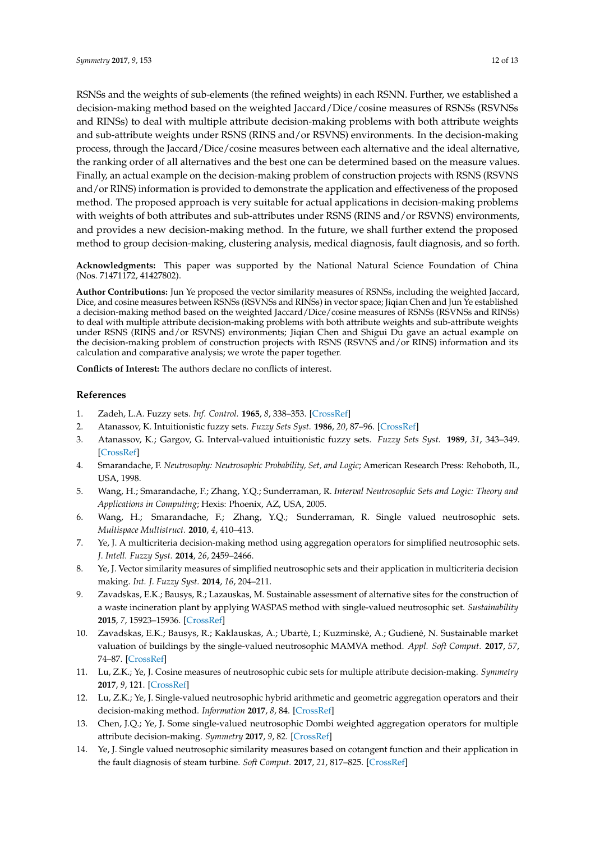RSNSs and the weights of sub-elements (the refined weights) in each RSNN. Further, we established a decision-making method based on the weighted Jaccard/Dice/cosine measures of RSNSs (RSVNSs and RINSs) to deal with multiple attribute decision-making problems with both attribute weights and sub-attribute weights under RSNS (RINS and/or RSVNS) environments. In the decision-making process, through the Jaccard/Dice/cosine measures between each alternative and the ideal alternative, the ranking order of all alternatives and the best one can be determined based on the measure values. Finally, an actual example on the decision-making problem of construction projects with RSNS (RSVNS and/or RINS) information is provided to demonstrate the application and effectiveness of the proposed method. The proposed approach is very suitable for actual applications in decision-making problems with weights of both attributes and sub-attributes under RSNS (RINS and/or RSVNS) environments, and provides a new decision-making method. In the future, we shall further extend the proposed method to group decision-making, clustering analysis, medical diagnosis, fault diagnosis, and so forth.

**Acknowledgments:** This paper was supported by the National Natural Science Foundation of China (Nos. 71471172, 41427802).

**Author Contributions:** Jun Ye proposed the vector similarity measures of RSNSs, including the weighted Jaccard, Dice, and cosine measures between RSNSs (RSVNSs and RINSs) in vector space; Jiqian Chen and Jun Ye established a decision-making method based on the weighted Jaccard/Dice/cosine measures of RSNSs (RSVNSs and RINSs) to deal with multiple attribute decision-making problems with both attribute weights and sub-attribute weights under RSNS (RINS and/or RSVNS) environments; Jiqian Chen and Shigui Du gave an actual example on the decision-making problem of construction projects with RSNS (RSVNS and/or RINS) information and its calculation and comparative analysis; we wrote the paper together.

**Conflicts of Interest:** The authors declare no conflicts of interest.

#### **References**

- <span id="page-11-0"></span>1. Zadeh, L.A. Fuzzy sets. *Inf. Control.* **1965**, *8*, 338–353. [\[CrossRef\]](http://dx.doi.org/10.1016/S0019-9958(65)90241-X)
- <span id="page-11-1"></span>2. Atanassov, K. Intuitionistic fuzzy sets. *Fuzzy Sets Syst.* **1986**, *20*, 87–96. [\[CrossRef\]](http://dx.doi.org/10.1016/S0165-0114(86)80034-3)
- <span id="page-11-2"></span>3. Atanassov, K.; Gargov, G. Interval-valued intuitionistic fuzzy sets. *Fuzzy Sets Syst.* **1989**, *31*, 343–349. [\[CrossRef\]](http://dx.doi.org/10.1016/0165-0114(89)90205-4)
- <span id="page-11-3"></span>4. Smarandache, F. *Neutrosophy: Neutrosophic Probability, Set, and Logic*; American Research Press: Rehoboth, IL, USA, 1998.
- <span id="page-11-4"></span>5. Wang, H.; Smarandache, F.; Zhang, Y.Q.; Sunderraman, R. *Interval Neutrosophic Sets and Logic: Theory and Applications in Computing*; Hexis: Phoenix, AZ, USA, 2005.
- <span id="page-11-5"></span>6. Wang, H.; Smarandache, F.; Zhang, Y.Q.; Sunderraman, R. Single valued neutrosophic sets. *Multispace Multistruct.* **2010**, *4*, 410–413.
- <span id="page-11-6"></span>7. Ye, J. A multicriteria decision-making method using aggregation operators for simplified neutrosophic sets. *J. Intell. Fuzzy Syst.* **2014**, *26*, 2459–2466.
- <span id="page-11-7"></span>8. Ye, J. Vector similarity measures of simplified neutrosophic sets and their application in multicriteria decision making. *Int. J. Fuzzy Syst.* **2014**, *16*, 204–211.
- 9. Zavadskas, E.K.; Bausys, R.; Lazauskas, M. Sustainable assessment of alternative sites for the construction of a waste incineration plant by applying WASPAS method with single-valued neutrosophic set. *Sustainability* **2015**, *7*, 15923–15936. [\[CrossRef\]](http://dx.doi.org/10.3390/su71215792)
- 10. Zavadskas, E.K.; Bausys, R.; Kaklauskas, A.; Ubartė, I.; Kuzminskė, A.; Gudienė, N. Sustainable market valuation of buildings by the single-valued neutrosophic MAMVA method. *Appl. Soft Comput.* **2017**, *57*, 74–87. [\[CrossRef\]](http://dx.doi.org/10.1016/j.asoc.2017.03.040)
- 11. Lu, Z.K.; Ye, J. Cosine measures of neutrosophic cubic sets for multiple attribute decision-making. *Symmetry* **2017**, *9*, 121. [\[CrossRef\]](http://dx.doi.org/10.3390/sym9070121)
- 12. Lu, Z.K.; Ye, J. Single-valued neutrosophic hybrid arithmetic and geometric aggregation operators and their decision-making method. *Information* **2017**, *8*, 84. [\[CrossRef\]](http://dx.doi.org/10.3390/info8030084)
- <span id="page-11-8"></span>13. Chen, J.Q.; Ye, J. Some single-valued neutrosophic Dombi weighted aggregation operators for multiple attribute decision-making. *Symmetry* **2017**, *9*, 82. [\[CrossRef\]](http://dx.doi.org/10.3390/sym9060082)
- <span id="page-11-9"></span>14. Ye, J. Single valued neutrosophic similarity measures based on cotangent function and their application in the fault diagnosis of steam turbine. *Soft Comput.* **2017**, *21*, 817–825. [\[CrossRef\]](http://dx.doi.org/10.1007/s00500-015-1818-y)